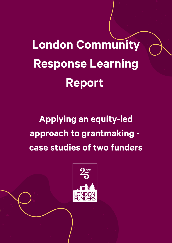London Community Response Learning Report

Applying an equity-led approach to grantmaking case studies of two funders

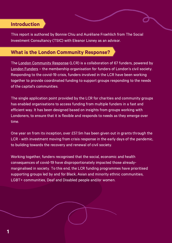# Introduction

This report is authored by Bonnie Chiu and Auréliane Froehlich from The Social Investment Consultancy (TSIC) with Eleanor Lisney as an advisor.

# What is the London Community Response?

The London [Community](https://londoncommunityresponsefund.org.uk/) Response (LCR) is a collaboration of 67 funders, powered by London [Funders](https://londonfunders.org.uk/) – the membership organisation for funders of London's civil society. Responding to the covid-19 crisis, funders involved in the LCR have been working together to provide coordinated funding to support groups responding to the needs of the capital's communities.

The single application point provided by the LCR for charities and community groups has enabled organisations to access funding from multiple funders in a fast and efficient way. It has been designed based on insights from groups working with Londoners, to ensure that it is flexible and responds to needs as they emerge over time.

One year on from its inception, over £57.5m has been given out in grants through the LCR - with investment moving from crisis response in the early days of the pandemic, to building towards the recovery and renewal of civil society.

Working together, funders recognised that the social, economic and health consequences of covid-19 have disproportionately impacted those alreadymarginalised in society. To this end, the LCR funding programmes have prioritised supporting groups led by and for Black, Asian and minority ethnic communities, LGBT+ communities, Deaf and Disabled people and/or women.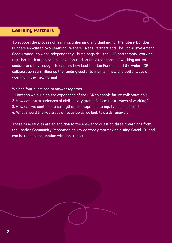### Learning Partners

To support the process of learning, unlearning and thinking for the future, London Funders appointed two Learning Partners - Reos Partners and The Social Investment Consultancy - to work independently - but alongside - the LCR partnership. Working together, both organisations have focused on the experiences of working across sectors, and have sought to capture how best London Funders and the wider LCR collaboration can influence the funding sector to maintain new and better ways of working in the 'new normal'.

We had four questions to answer together:

- 1. How can we build on the experience of the LCR to enable future collaboration?
- 2. How can the experiences of civil society groups inform future ways of working?
- 3. How can we continue to strengthen our approach to equity and inclusion?
- 4. What should the key areas of focus be as we look towards renewal?

These case studies are an addition to the answer to question three, 'Learnings from the London Community Responses [equity-centred](https://londonfunders.org.uk/sites/default/files/images/LCR%20Learning%20Reports%202i_Equity_Spreads.pdf) grantmaking during Covid-19' and can be read in conjunction with that report.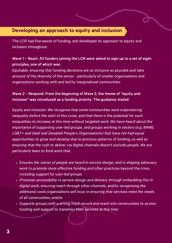# Developing an approach to equity and inclusion

The LCR had five waves of funding, and developed its approach to equity and inclusion throughout:

### Wave 1 – React: All funders joining the LCR were asked to sign up to a set of eight principles, one of which was:

Equitable: ensuring that funding decisions are as inclusive as possible and take account of the diversity of the sector - particularly of smaller organisations and organisations working with and led by marginalised communities.

### Wave 2 – Respond: From the beginning of Wave 2, the theme of "equity and inclusion" was introduced as a funding priority. The guidance stated:

Equity and inclusion: We recognise that some communities were experiencing inequality before the start of this crisis, and that there is the potential for such inequalities to increase at this time without targeted work. We have heard about the importance of supporting user-led groups, and groups working in sectors (e.g. BAME, LGBT+ and Deaf and Disabled People's Organisations) that have not had equal opportunities to grow and develop due to previous patterns of funding, as well as ensuring that the rush to deliver via digital channels doesn't exclude people. We are particularly keen to fund work that:

- Ensures the voices of people are heard in service design, and in shaping advocacy work to promote more effective funding and other practices beyond the crisis, including support for user-led groups
- Promotes accessibility in service design and delivery through embedding this in digital work, ensuring reach through other channels, and/or recognising the additional costs organisations will incur in ensuring that services meet the needs of all communities; and/or
- Supports groups with a strong track record and reach into communities to access funding and support to transition their services at this time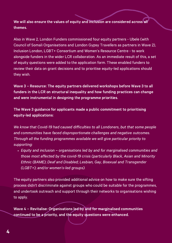We will also ensure the values of equity and inclusion are considered across all themes.

Also in Wave 2, London Funders commissioned four equity partners - Ubele (with Council of Somali Organisations and London Gypsy Travellers as partners in Wave 2), Inclusion London, LGBT+ Consortium and Women's Resource Centre - to work alongside funders in the wider LCR collaboration. As an immediate result of this, a set of equity questions were added to the application form. These enabled funders to review their data on grant decisions and to prioritise equity-led applications should they wish.

Wave 3 – Resource: The equity partners delivered workshops before Wave 3 to all funders in the LCR on structural inequality and how funding practices can change and were instrumental in designing the programme priorities.

The Wave 3 guidance for applicants made a public commitment to prioritising equity-led applications:

We know that Covid-19 had caused difficulties to all Londoners, but that some people and communities have faced disproportionate challenges and negative outcomes. Through all the funding programmes available we will give particular priority to supporting:

Equity and inclusion – organisations led by and for marginalised communities and those most affected by the covid-19 crisis (particularly Black, Asian and Minority Ethnic (BAME); Deaf and Disabled; Lesbian, Gay, Bisexual and Transgender (LGBT+); and/or women's-led groups).

The equity partners also provided additional advice on how to make sure the sifting process didn't discriminate against groups who could be suitable for the programmes, and undertook outreach and support through their networks to organisations wishing to apply.

Wave 4 – Revitalise: Organisations led by and for marginalised communities continued to be a priority, and the equity questions were enhanced.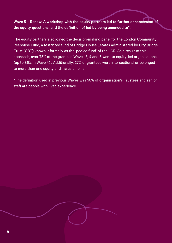### Wave 5 – Renew: A workshop with the equity partners led to further enhancement of the equity questions, and the definition of led by being amended to\*:

The equity partners also joined the decision-making panel for the London Community Response Fund, a restricted fund of Bridge House Estates administered by City Bridge Trust (CBT) known informally as the 'pooled fund' of the LCR. As a result of this approach, over 75% of the grants in Waves 3, 4 and 5 went to equity-led organisations (up to 86% in Wave 4) . Additionally, 27% of grantees were intersectional or belonged to more than one equity and inclusion pillar.

\*The definition used in previous Waves was 50% of organisation's Trustees and senior staff are people with lived experience.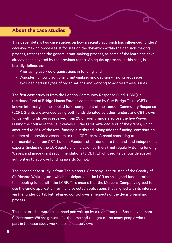### About the case studies

This paper details two case studies on how an equity approach has influenced funders' decision-making processes. It focuses on the dynamics within the decision-making process, rather than the general grant-making process, as some of the learnings have already been covered by the previous report. An equity approach, in this case, is broadly defined as:

- Prioritising user-led organisations in funding; and
- Considering how traditional grant-making and decision-making processes excluded certain types of organisations and working to address these issues.

The first case study is from the London Community Response Fund (LCRF), a restricted fund of Bridge House Estates administered by City Bridge Trust (CBT), known informally as the 'pooled fund' component of the London Community Response (LCR). Grants are awarded using both funds donated by other funders and CBT's own funds, with funds being received from 20 different funders across the five Waves. During the course of the LCR Waves 1-5 the LCRF awarded 48% of the grants, which amounted to 56% of the total funding distributed. Alongside the funding, contributing funders also provided assessors to the LCRF 'team'. A panel consisting of representatives from CBT, London Funders, other donors to the fund, and independent experts (including the LCR equity and inclusion partners) met regularly during funding Waves, and made grant recommendations to CBT, which used its various delegated authorities to approve funding awards (or not).

The second case study is from The Mercers' Company - the trustee of the Charity of Sir Richard Whittington - which participated in the LCR as an aligned funder, rather than pooling funds with the LCRF. This means that the Mercers' Company agreed to use the single application form and selected applications that aligned with its interests via the funder portal, but retained control over all aspects of the decision-making process.

The case studies were researched and written by a team from the Social Investment Consultancy. We are grateful for the time and thought of the many people who took part in the case study workshops and interviews.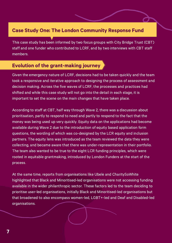# Case Study One: The London Community Response Fund

This case study has been informed by two focus groups with City Bridge Trust (CBT) staff and one funder who contributed to LCRF, and by two interviews with CBT staff members.

# Evolution of the grant-making journey

Given the emergency nature of LCRF, decisions had to be taken quickly and the team took a responsive and iterative approach to designing the process of assessment and decision making. Across the five waves of LCRF, the processes and practices had shifted and while this case study will not go into the detail in each stage, it is important to set the scene on the main changes that have taken place.

According to staff at CBT, half way through Wave 2, there was a discussion about prioritisation, partly to respond to need and partly to respond to the fact that the money was being used up very quickly. Equity data on the applications had become available during Wave 2 due to the introduction of equity based application form questions, the wording of which was co-designed by the LCR equity and inclusion partners. The equity lens was introduced as the team reviewed the data they were collecting, and became aware that there was under-representation in their portfolio. The team also wanted to be true to the eight LCR funding principles, which were rooted in equitable grantmaking, introduced by London Funders at the start of the process.

At the same time, reports from organisations like Ubele and CharitySoWhite highlighted that Black and Minoritised-led organisations were not accessing funding available in the wider philanthropic sector. These factors led to the team deciding to prioritise user-led organisations, initially Black and Minoritised-led organisations but that broadened to also encompass women-led, LGBT+-led and Deaf and Disabled-led organisations.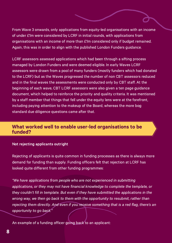From Wave 3 onwards, only applications from equity-led organisations with an income of under £1m were considered by LCRF in initial rounds, with applications from organisations with an income of more than £1m considered only if budget remained. Again, this was in order to align with the published London Funders guidance.

LCRF assessors assessed applications which had been through a sifting process managed by London Funders and were deemed eligible. In early Waves LCRF assessors were drawn from a pool of many funders (mostly funders which had donated to the LCRF) but as the Waves progressed the number of non CBT assessors reduced and in the final waves the assessments were conducted only by CBT staff. At the beginning of each wave, CBT LCRF assessors were also given a ten page guidance document, which helped to reinforce the priority and quality criteria. It was mentioned by a staff member that things that fell under the equity lens were at the forefront, including paying attention to the makeup of the Board, whereas the more bog standard due diligence questions came after that.

## What worked well to enable user-led organisations to be funded?

#### Not rejecting applicants outright

Rejecting of applicants is quite common in funding processes as there is always more demand for funding than supply. Funding officers felt that rejection at LCRF has looked quite different from other funding programmes:

"We have applications from people who are not experienced in submitting applications, or they may not have financial knowledge to complete the template, or they couldn't fill in template. But even if they have submitted the applications in the wrong way, we then go back to them with the opportunity to resubmit, rather than rejecting them directly. And even if you receive something that is a red flag, there's an opportunity to go back."

An example of a funding officer going back to an applicant: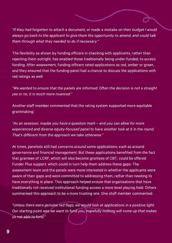"If they had forgotten to attach a document, or made a mistake on their budget I would always go back to the applicant to give them the opportunity to amend, and could talk them through what they needed to do if necessary."

The flexibility as shown by funding officers in checking with applicants, rather than rejecting them outright, has enabled those traditionally being under-funded, to access funding. After assessment, funding officers rated applications as red, amber or green, and they ensured that the funding panel had a chance to discuss the applications with red ratings as well:

"We wanted to ensure that the panels are informed. Often the decision is not a straight yes or no, it is much more nuanced."

Another staff member commented that the rating system supported more equitable grantmaking:

"As an assessor, maybe you have a question mark – and you can allow for more experienced and diverse equity-focused panel to have another look at it in the round. That's different from the approach we take otherwise."

At times, panelists still had concerns around some applications, such as around governance and financial management. But these applications benefited from the fact that grantees of LCRF, which will also become grantees of CBT, could be offered Funder Plus support, which could in turn help them address these gaps. The assessment team and the panels were more interested in whether the applicants were aware of their gaps and were committed to addressing them, rather than needing to have everything in place. This approach helped ensure that organisations that have traditionally not received institutional funding access a more level playing field. Others summarised this approach to be a more trusting one. One staff member commented:

"Unless there were genuine red flags, we would look at applications in a positive light. Our starting point was we want to fund you, hopefully nothing will come up that makes us not able to fund."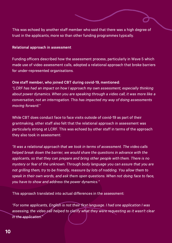This was echoed by another staff member who said that there was a high degree of trust in the applicants, more so than other funding programmes typically.

#### Relational approach in assessment

Funding officers described how the assessment process, particularly in Wave 5 which made use of video assessment calls, adopted a relational approach that broke barriers for under-represented organisations.

#### One staff member, who joined CBT during covid-19, mentioned:

"LCRF has had an impact on how I approach my own assessment, especially thinking about power dynamics. When you are speaking through a video call, it was more like a conversation, not an interrogation. This has impacted my way of doing assessments moving forward."

While CBT does conduct face to face visits outside of covid-19 as part of their grantmaking, other staff also felt that the relational approach in assessment was particularly strong at LCRF. This was echoed by other staff in terms of the approach they also took in assessment:

"It was a relational approach that we took in terms of assessment. The video calls helped break down the barrier, we would share the questions in advance with the applicants, so that they can prepare and bring other people with them. There is no mystery or fear of the unknown. Through body language you can assure that you are not grilling them, try to be friendly, reassure by lots of nodding. You allow them to speak in their own words, and ask them open questions. When not doing face to face, you have to show and address the power dynamics."

This approach translated into actual differences in the assessment:

"For some applicants, English is not their first language. I had one application I was assessing, the video call helped to clarify what they were requesting as it wasn't clear in the application."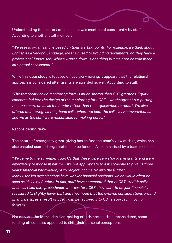Understanding the context of applicants was mentioned consistently by staff. According to another staff member:

"We assess organisations based on their starting points. For example, we think about English as a Second Language, are they used to providing documents, do they have a professional fundraiser? What's written down is one thing but may not be translated into actual assessment."

While this case study is focused on decision-making, it appears that the relational approach is considered after grants are awarded as well. According to staff:

"The temporary covid monitoring form is much shorter than CBT grantees. Equity concerns fed into the design of the monitoring for LCRF – we thought about putting the onus more on us as the funder rather than the organisation to report. We also offered monitoring via telephone calls, where we kept the calls very conversational, and we as the staff were responsible for making notes."

#### Reconsidering risks

The nature of emergency grant-giving has shifted the team's view of risks, which has also enabled user-led organisations to be funded. As summarised by a team member:

"We came to the agreement quickly that these were very short-term grants and were emergency response in nature – it's not appropriate to ask someone to give us three years' financial information, or to project income far into the future." Many user-led organisations have weaker financial positions, which would often be seen as 'risky' by funders. In fact, staff have commented that at CBT, traditionally financial risks take precedence, whereas for LCRF, they want to be just financially reassured (a slightly lower bar) and they hope that the evolved considerations around financial risk, as a result of LCRF, can be factored into CBT's approach moving forward.

Not only are the formal decision-making criteria around risks reconsidered, some funding officers also appeared to shift their personal perceptions.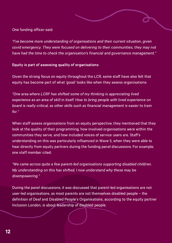One funding officer said:

"I've become more understanding of organisations and their current situation, given covid emergency. They were focused on delivering to their communities, they may not have had the time to check the organisation's financial and governance management."

#### Equity is part of assessing quality of organisations

Given the strong focus on equity throughout the LCR, some staff have also felt that equity has become part of what 'good' looks like when they assess organisations:

"One area where LCRF has shifted some of my thinking is appreciating lived experience as an area of skill in itself. How to bring people with lived experience on board is really critical, as other skills such as financial management is easier to train for."

When staff assess organisations from an equity perspective, they mentioned that they look at the quality of their programming, how involved organisations were within the communities they serve, and how included voices of service users are. Staff's understanding on this was particularly influenced in Wave 5, when they were able to hear directly from equity partners during the funding panel discussions. For example, one staff member cited:

"We came across quite a few parent-led organisations supporting disabled children. My understanding on this has shifted, I now understand why these may be disempowering."

During the panel discussions, it was discussed that parent-led organisations are not user-led organisations, as most parents are not themselves disabled people – the definition of Deaf and Disabled People's Organisations, according to the equity partner Inclusion London, is about leadership of disabled people.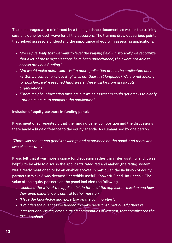These messages were reinforced by a team guidance document, as well as the training sessions done for each wave for all the assessors. The training drew out various points that helped assessors understand the importance of equity in assessing applications:

- "We say verbally that we want to level the playing field historically we recognize that a lot of these organisations have been underfunded, they were not able to access previous funding."
- "We would make points like is it a poor application or has the application been written by someone whose English is not their first language? We are not looking for polished, well-seasoned fundraisers, these will be from grassroots organisations."
- "There may be information missing, but we as assessors could get emails to clarify - put onus on us to complete the application."

#### Inclusion of equity partners in funding panels

It was mentioned repeatedly that the funding panel composition and the discussions there made a huge difference to the equity agenda. As summarised by one person:

"There was robust and good knowledge and experience on the panel, and there was also clear scrutiny".

It was felt that it was more a space for discussion rather than interrogating, and it was helpful to be able to discuss the applicants rated red and amber (the rating system was already mentioned to be an enabler above). In particular, the inclusion of equity partners in Wave 5 was deemed "incredibly useful", "powerful" and "influential". The value of the equity partners on the panel included the following:

- "Justified the why of the applicants", in terms of the applicants' mission and how their lived experience is central to their mission,
- . "Have the knowledge and expertise on the communities",
- "Provided the nuances we needed to make decisions", particularly there're intersectional issues, cross-cutting communities of interest, that complicated the 75% threshold.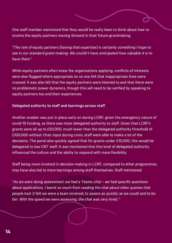One staff member mentioned that they would be really keen to think about how to involve the equity partners moving forward in their future grantmaking:

"The role of equity partners (having that expertise) is certainly something I hope to see in our standard grant-making. We couldn't have anticipated how valuable it is to have them."

While equity partners often knew the organisations applying, conflicts of interests were also flagged where appropriate so no one felt that inappropriate lines were crossed. It was also felt that the equity partners were listened to and that there were no problematic power dynamics, though this will need to be verified by speaking to equity partners too and their experiences.

#### Delegated authority to staff and learnings across staff

Another enabler was put in place early on during LCRF, given the emergency nature of covid-19 funding, as there was more delegated authority to staff. Given that LCRF's grants were all up to £50,000, much lower than the delegated authority threshold of £100,000 without Chair input during crisis, staff were able to make a lot of the decisions. The panel also quickly agreed that for grants under £10,000, this would be delegated to two CBT staff. It was mentioned that this level of delegated authority influenced the culture and the ability to respond with more flexibility.

Staff being more involved in decision-making in LCRF, compared to other programmes, may have also led to more learnings among staff themselves. Staff mentioned:

"As we were doing assessment, we had a Teams chat – we had specific questions about applications, I learnt so much from reading the chat about other queries that people had. It felt we were a team involved, to assess as quickly as we could and to be fair. With the speed we were assessing, the chat was very lively."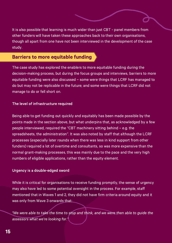It is also possible that learning is much wider than just CBT - panel members from other funders will have taken these approaches back to their own organisations, though all apart from one have not been interviewed in the development of the case study.

## Barriers to more equitable funding

The case study has explored the enablers to more equitable funding during the decision-making process, but during the focus groups and interviews, barriers to more equitable funding were also discussed – some were things that LCRF has managed to do but may not be replicable in the future; and some were things that LCRF did not manage to do or fell short on.

#### The level of infrastructure required

Being able to get funding out quickly and equitably has been made possible by the points made in the section above, but what underpins that, as acknowledged by a few people interviewed, required the "CBT machinery sitting behind – e.g. the spreadsheets, the administration". It was also noted by staff that although the LCRF processes (especially later rounds when there was less in kind support from other funders) required a lot of overtime and consultants, so was more expensive than the normal grant-making processes, this was mainly due to the pace and the very high numbers of eligible applications, rather than the equity element.

#### Urgency is a double-edged sword

While it is critical for organisations to receive funding promptly, the sense of urgency may also have led to some potential oversight in the process. For example, staff mentioned that in Waves 1 and 2, they did not have firm criteria around equity and it was only from Wave 3 onwards that:

"We were able to take the time to stop and think, and we were then able to guide the assessors what we're looking for."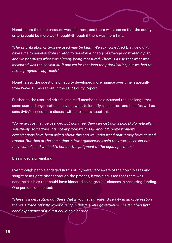Nonetheless the time pressure was still there, and there was a sense that the equity criteria could be more well thought-through if there was more time:

"The prioritisation criteria we used may be blunt. We acknowledged that we didn't have time to develop from scratch to develop a Theory of Change or strategic plan, and we prioritised what was already being measured. There is a risk that what was measured was the easiest stuff and we let that lead the prioritisation, but we had to take a pragmatic approach."

Nonetheless, the questions on equity developed more nuance over time, especially from Wave 3-5, as set out in the LCR Equity [Report](https://londonfunders.org.uk/sites/default/files/images/LCR%20Learning%20Reports%202i_Equity_Pages.pdf).

Further on the user-led criteria, one staff member also discussed the challenge that some user-led organisations may not want to identify as user-led, and time (as well as sensitivity) is needed to discuss with applicants about this.

"Some groups may be user-led but don't feel they can just tick a box. Diplomatically, sensitively, sometimes it is not appropriate to talk about it. Some women's organisations have been asked about this and we understand that it may have caused trauma. But then at the same time, a few organisations said they were user-led but they weren't, and we had to honour the judgment of the equity partners."

#### Bias in decision-making

Even though people engaged in this study were very aware of their own biases and sought to mitigate biases through the process, it was discussed that there was nonetheless bias that could have hindered some groups' chances in accessing funding. One person commented:

"There is a perception out there that if you have greater diversity in an organisation, there's a trade-off with lower quality in delivery and governance. I haven't had firsthand experience of it but it could be a barrier."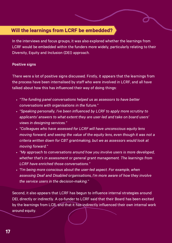# Will the learnings from LCRF be embedded?

In the interviews and focus groups, it was also explored whether the learnings from LCRF would be embedded within the funders more widely, particularly relating to their Diversity, Equity and Inclusion (DEI) approach.

#### Positive signs

There were a lot of positive signs discussed. Firstly, it appears that the learnings from the process have been internalised by staff who were involved in LCRF, and all have talked about how this has influenced their way of doing things:

- "The funding panel conversations helped us as assessors to have better conversations with organisations in the future."
- "Speaking personally, I've been influenced by LCRF to apply more scrutiny to applicants' answers to what extent they are user-led and take on board users' views in designing services."
- "Colleagues who have assessed for LCRF will have unconscious equity lens moving forward, and seeing the value of the equity lens, even though it was not a criteria written down for CBT grantmaking, but we as assessors would look at moving forward."
- "My approach to conversations around how you involve users is more developed, whether that's in assessment or general grant management. The learnings from LCRF have enriched those conversations."
- . "I'm being more conscious about the user-led aspect. For example, when assessing Deaf and Disabled organisations, I'm more aware of how they involve the service users in the decision-making."

Second, it also appears that LCRF has begun to influence internal strategies around DEI, directly or indirectly. A co-funder to LCRF said that their Board has been excited by the learnings from LCR, and that it has indirectly influenced their own internal work around equity.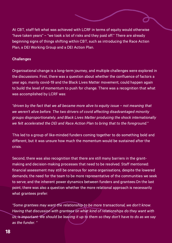At CBT, staff felt what was achieved with LCRF in terms of equity would otherwise "have taken years" – "we took a lot of risks and they paid off." There are already beginning signs of things shifting within CBT, such as introducing the Race Action Plan, a DEI Working Group and a DEI Action Plan.

#### **Challenges**

Organisational change is a long-term journey, and multiple challenges were explored in the discussions. First, there was a question about whether the confluence of factors a year ago, mainly covid-19 and the Black Lives Matter movement, could happen again to build the level of momentum to push for change. There was a recognition that what was accomplished by LCRF was:

"driven by the fact that we all became more alive to equity issue – not meaning that we weren't alive before. The two drivers of covid affecting disadvantaged minority groups disproportionately, and Black Lives Matter producing the shock internationally we felt accelerated the DEI and Race Action Plan to bring that to the foreground."

This led to a group of like-minded funders coming together to do something bold and different, but it was unsure how much the momentum would be sustained after the crisis.

Second, there was also recognition that there are still many barriers in the grantmaking and decision-making processes that need to be resolved. Staff mentioned: financial assessment may still be onerous for some organisations, despite the lowered demands; the need for the team to be more representative of the communities we seek to serve; and the inherent power dynamics between funders and grantees.On the last point, there was also a question whether the more relational approach is necessarily what grantees prefer:

"Some grantees may want the relationship to be more transactional, we don't know. Having that discussion with grantees on what kind of relationships do they want with us, is important. We should be leaving it up to them so they don't have to do as we say as the funder. "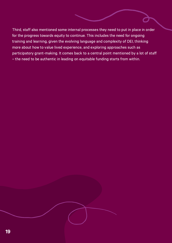Third, staff also mentioned some internal processes they need to put in place in order for the progress towards equity to continue. This includes the need for ongoing training and learning, given the evolving language and complexity of DEI, thinking more about how to value lived experience, and exploring approaches such as participatory grant-making. It comes back to a central point mentioned by a lot of staff – the need to be authentic in leading on equitable funding starts from within.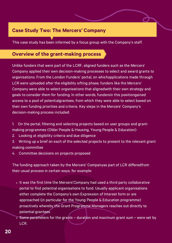# Case Study Two: The Mercers' Company

This case study has been informed by a focus group with the Company's staff.

## Overview of the grant-making process

Unlike funders that were part of the LCRF, aligned funders such as the Mercers' Company applied their own decision-making processes to select and award grants to organisations. From the London Funders' portal, on whichapplications made through LCR were uploaded after the eligibility sifting phase, funders like the Mercers' Company were able to select organisations that alignedwith their own strategy and goals to consider them for funding. In other words, fundersin this positiongained access to a pool of potentialgrantees, from which they were able to select based on their own funding priorities and criteria. Key steps in the Mercers' Company's decision-making process included:

- 1. On the portal, filtering and selecting projects based on user groups and grantmaking programmes (Older People & Housing, Young People & Education)
- 2. Looking at eligibility criteria and due diligence
- 3. Writing up a brief on each of the selected projects to present to the relevant grant making committee
- 4. Committee decisions on projects proposed

The funding approach taken by the Mercers' Companyas part of LCR differedfrom their usual process in certain ways, for example:

- It was the first time the Mercers'Company had used a third party collaborative portal to find potential organisations to fund. Usually applicant organisations either complete the Company's own Expression of Interest form or are approached (in particular for the Young People & Education programme) proactively whereby the Grant Programme Managers reaches out directly to potential grantees.
- Some parameters for the grants duration and maximum grant sum were set by LCR.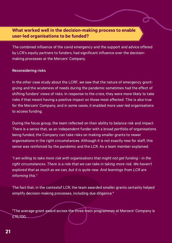## What worked well in the decision-making process to enable user-led organisations to be funded?

The combined influence of the covid emergency and the support and advice offered by LCR's equity partners to funders, had significant influence over the decisionmaking processes at the Mercers' Company.

#### Reconsidering risks

In the other case study about the LCRF, we saw that the nature of emergency grantgiving and the acuteness of needs during the pandemic sometimes had the effect of shifting funders' views of risks. In response to the crisis, they were more likely to take risks if that meant having a positive impact on those most affected. This is also true for the Mercers' Company, and in some cases, it enabled more user-led organisations to access funding.

During the focus group, the team reflected on their ability to balance risk and impact. There is a sense that, as an independent funder with a broad portfolio of organisations being funded, the Company can take risks on making smaller grants to newer organisations in the right circumstances. Although it is not exactly new for staff, this sense was reinforced by the pandemic and the LCR. As a team member explained:

"I am willing to take more risk with organisations that might not get funding - in the right circumstances. There is a role that we can take in taking more risk. We haven't explored that as much as we can, but it is quite new. And learnings from LCR are informing this."

The fact that, in the contextof LCR, the team awarded smaller grants certainly helped simplify decision-making processes, including due diligence.\*

\*The average grant award across the three main programmes at Mercers' Company is £70,700.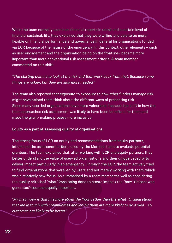While the team normally examines financial reports in detail and a certain level of financial sustainability, they explained that they were willing and able to be more flexible on financial performance and governance in general for organisations funded via LCR because of the nature of the emergency. In this context, other elements – such as user engagement and the organisation being on the frontline– became more important than more conventional risk assessment criteria. A team member commented on this shift:

"The starting point is to look at the risk and then work back from that. Because some things are riskier, but they are also more needed."

The team also reported that exposure to exposure to how other funders manage risk might have helped them think about the different ways of presenting risk. Since many user-led organisations have more vulnerable finances, the shift in how the team approaches risk assessment was likely to have been beneficial for them and made the grant- making process more inclusive.

#### Equity as a part of assessing quality of organisations

The strong focus of LCR on equity and recommendations from equity partners, influenced the assessment criteria used by the Mercers' team to evaluate potential grantees. The team explained that, after working with LCR and equity partners, they better understand the value of user-led organisations and their unique capacity to deliver impact particularly in an emergency. Through the LCR, the team actively tried to fund organisations that were led by users and not merely working with them, which was a relatively new focus. As summarised by a team member:as well as considering the quality criteriaof "what" (was being done to create impact) the "how" (impact was generated) became equally important.

"My main view is that it is more about the 'how' rather than the 'what'. Organisations that are in touch with communities and led by them are more likely to do it well – so outcomes are likely to be better."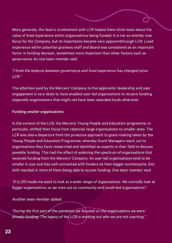More generally, the team's involvement with LCR helped them think more about the value of lived experience within organisations being funded. It is not an entirely new focus for the Company, but its importance became very apparentthrough LCR. Lived experience within potential grantees staff and Board was considered as an important factor in funding decision, sometimes more important than other factors such as governance. As one team member said:

### "I think the balance between governance and lived experience has changed since LCR."

The attention paid by the Mercers' Company to the applicants' leadership and user engagement is very likely to have enabled user-led organisations to receive funding, especially organisations that might not have been awarded funds otherwise.

#### Funding smaller organisations

In the context of the LCR, the Mercers' Young People and Education programme, in particular, shifted their focus from relatively large organisations to smaller ones. The LCR was also a departure from the proactive approach to grant-making taken by the Young People and Education Programme, whereby Grant Managers reach out to organisations they have researched and identified as experts in their field to discuss possible funding. This had the effect of widening the spectrum of organisations that received funding from the Mercers' Company. As user-led organisations tend to be smaller in size and less well-connected with funders as their bigger counterparts, this shift resulted in more of them being able to access funding. One team member said:

"It (LCR) made me want to look at a wider range of organisations. We normally look at bigger organisations so we miss out on community and youth-led organisations".

Another team member added:

"During the first part of the pandemic we focused on the organisations we were already funding. The legacy of the LCR is working out who we are not reaching."